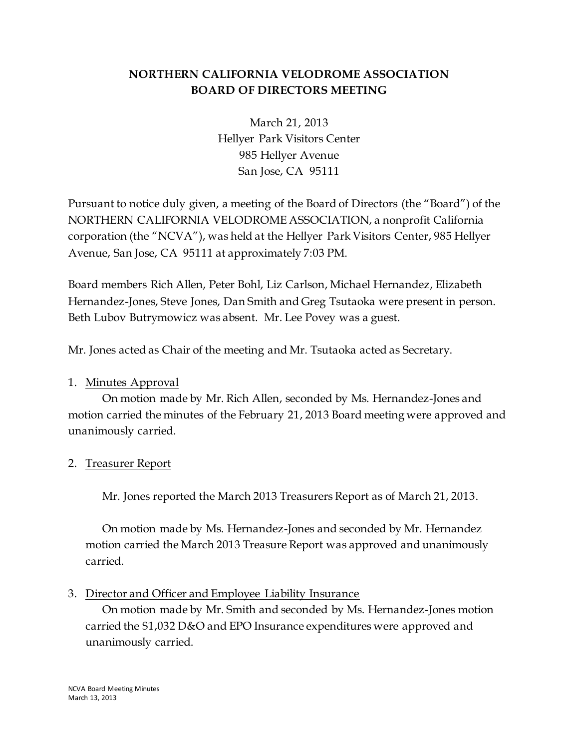# **NORTHERN CALIFORNIA VELODROME ASSOCIATION BOARD OF DIRECTORS MEETING**

March 21, 2013 Hellyer Park Visitors Center 985 Hellyer Avenue San Jose, CA 95111

Pursuant to notice duly given, a meeting of the Board of Directors (the "Board") of the NORTHERN CALIFORNIA VELODROME ASSOCIATION, a nonprofit California corporation (the "NCVA"), was held at the Hellyer Park Visitors Center, 985 Hellyer Avenue, San Jose, CA 95111 at approximately 7:03 PM.

Board members Rich Allen, Peter Bohl, Liz Carlson, Michael Hernandez, Elizabeth Hernandez-Jones, Steve Jones, Dan Smith and Greg Tsutaoka were present in person. Beth Lubov Butrymowicz was absent. Mr. Lee Povey was a guest.

Mr. Jones acted as Chair of the meeting and Mr. Tsutaoka acted as Secretary.

## 1. Minutes Approval

On motion made by Mr. Rich Allen, seconded by Ms. Hernandez-Jones and motion carried the minutes of the February 21, 2013 Board meeting were approved and unanimously carried.

## 2. Treasurer Report

Mr. Jones reported the March 2013 Treasurers Report as of March 21, 2013.

On motion made by Ms. Hernandez-Jones and seconded by Mr. Hernandez motion carried the March 2013 Treasure Report was approved and unanimously carried.

## 3. Director and Officer and Employee Liability Insurance

On motion made by Mr. Smith and seconded by Ms. Hernandez-Jones motion carried the \$1,032 D&O and EPO Insurance expenditures were approved and unanimously carried.